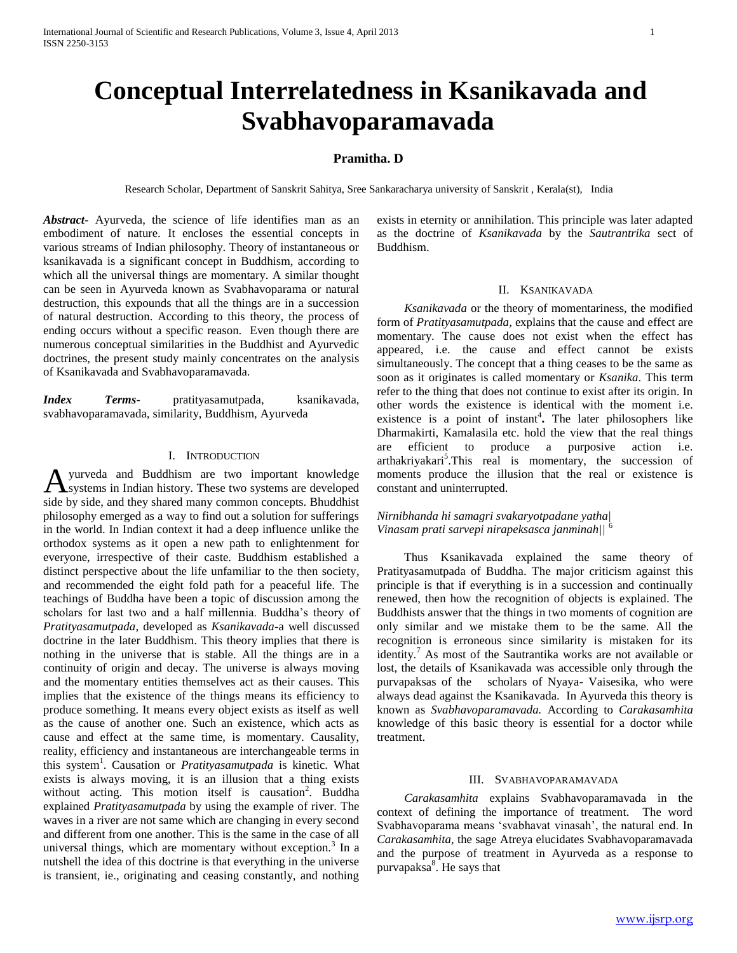# **Conceptual Interrelatedness in Ksanikavada and Svabhavoparamavada**

# **Pramitha. D**

Research Scholar, Department of Sanskrit Sahitya, Sree Sankaracharya university of Sanskrit , Kerala(st), India

*Abstract***-** Ayurveda, the science of life identifies man as an embodiment of nature. It encloses the essential concepts in various streams of Indian philosophy. Theory of instantaneous or ksanikavada is a significant concept in Buddhism, according to which all the universal things are momentary. A similar thought can be seen in Ayurveda known as Svabhavoparama or natural destruction, this expounds that all the things are in a succession of natural destruction. According to this theory, the process of ending occurs without a specific reason. Even though there are numerous conceptual similarities in the Buddhist and Ayurvedic doctrines, the present study mainly concentrates on the analysis of Ksanikavada and Svabhavoparamavada.

*Index Terms*- pratityasamutpada, ksanikavada, svabhavoparamavada, similarity, Buddhism, Ayurveda

## I. INTRODUCTION

yurveda and Buddhism are two important knowledge systems in Indian history. These two systems are developed A yurveda and Buddhism are two important knowledge side by side, and they shared many common concepts. Bhuddhist philosophy emerged as a way to find out a solution for sufferings in the world. In Indian context it had a deep influence unlike the orthodox systems as it open a new path to enlightenment for everyone, irrespective of their caste. Buddhism established a distinct perspective about the life unfamiliar to the then society, and recommended the eight fold path for a peaceful life. The teachings of Buddha have been a topic of discussion among the scholars for last two and a half millennia. Buddha's theory of *Pratityasamutpada*, developed as *Ksanikavada-*a well discussed doctrine in the later Buddhism. This theory implies that there is nothing in the universe that is stable. All the things are in a continuity of origin and decay. The universe is always moving and the momentary entities themselves act as their causes. This implies that the existence of the things means its efficiency to produce something. It means every object exists as itself as well as the cause of another one. Such an existence, which acts as cause and effect at the same time, is momentary. Causality, reality, efficiency and instantaneous are interchangeable terms in this system<sup>1</sup>. Causation or *Pratityasamutpada* is kinetic. What exists is always moving, it is an illusion that a thing exists without acting. This motion itself is causation<sup>2</sup>. Buddha explained *Pratityasamutpada* by using the example of river. The waves in a river are not same which are changing in every second and different from one another. This is the same in the case of all universal things, which are momentary without exception.<sup>3</sup> In a nutshell the idea of this doctrine is that everything in the universe is transient, ie., originating and ceasing constantly, and nothing

exists in eternity or annihilation. This principle was later adapted as the doctrine of *Ksanikavada* by the *Sautrantrika* sect of Buddhism.

## II. KSANIKAVADA

 *Ksanikavada* or the theory of momentariness, the modified form of *Pratityasamutpada*, explains that the cause and effect are momentary. The cause does not exist when the effect has appeared, i.e. the cause and effect cannot be exists simultaneously. The concept that a thing ceases to be the same as soon as it originates is called momentary or *Ksanika*. This term refer to the thing that does not continue to exist after its origin. In other words the existence is identical with the moment i.e. existence is a point of instant<sup>4</sup>. The later philosophers like Dharmakirti, Kamalasila etc. hold the view that the real things are efficient to produce a purposive action i.e. arthakriyakari<sup>5</sup>. This real is momentary, the succession of moments produce the illusion that the real or existence is constant and uninterrupted.

## *Nirnibhanda hi samagri svakaryotpadane yatha| Vinasam prati sarvepi nirapeksasca janminah||* <sup>6</sup>

Thus Ksanikavada explained the same theory of Pratityasamutpada of Buddha. The major criticism against this principle is that if everything is in a succession and continually renewed, then how the recognition of objects is explained. The Buddhists answer that the things in two moments of cognition are only similar and we mistake them to be the same. All the recognition is erroneous since similarity is mistaken for its identity.<sup>7</sup> As most of the Sautrantika works are not available or lost, the details of Ksanikavada was accessible only through the purvapaksas of the scholars of Nyaya- Vaisesika, who were always dead against the Ksanikavada. In Ayurveda this theory is known as *Svabhavoparamavada.* According to *Carakasamhita*  knowledge of this basic theory is essential for a doctor while treatment.

## III. SVABHAVOPARAMAVADA

 *Carakasamhita* explains Svabhavoparamavada in the context of defining the importance of treatment. The word Svabhavoparama means 'svabhavat vinasah', the natural end. In *Carakasamhita,* the sage Atreya elucidates Svabhavoparamavada and the purpose of treatment in Ayurveda as a response to purvapaksa<sup>8</sup>. He says that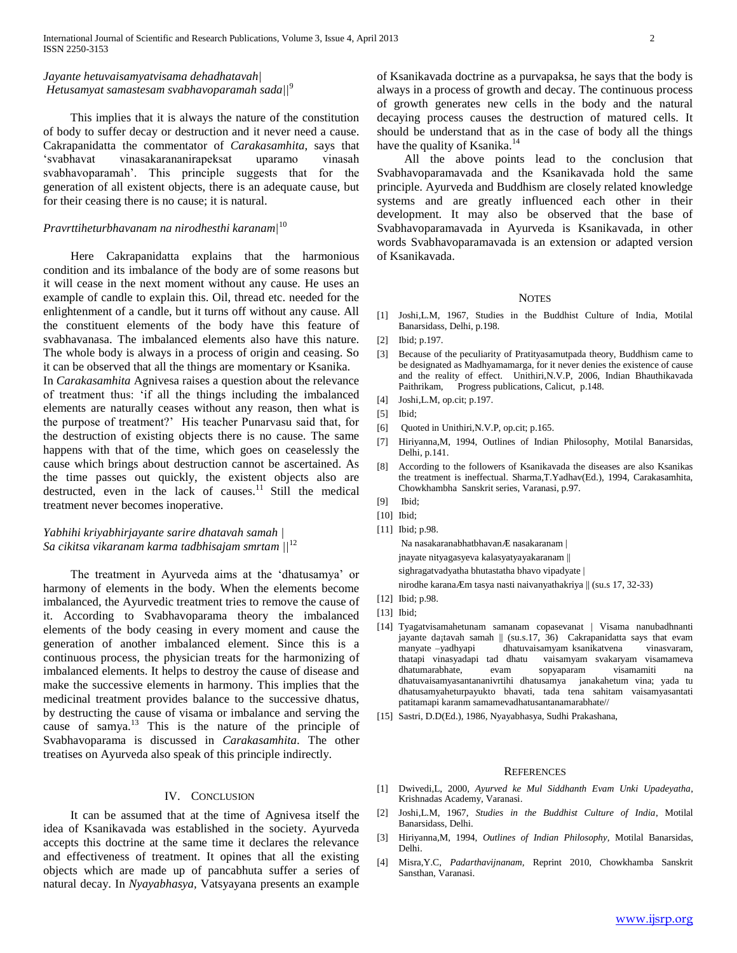# *Jayante hetuvaisamyatvisama dehadhatavah| Hetusamyat samastesam svabhavoparamah sada||*<sup>9</sup>

This implies that it is always the nature of the constitution of body to suffer decay or destruction and it never need a cause. Cakrapanidatta the commentator of *Carakasamhita*, says that 'svabhavat vinasakarananirapeksat uparamo vinasah svabhavoparamah'. This principle suggests that for the generation of all existent objects, there is an adequate cause, but for their ceasing there is no cause; it is natural.

# *Pravrttiheturbhavanam na nirodhesthi karanam|*<sup>10</sup>

Here Cakrapanidatta explains that the harmonious condition and its imbalance of the body are of some reasons but it will cease in the next moment without any cause. He uses an example of candle to explain this. Oil, thread etc. needed for the enlightenment of a candle, but it turns off without any cause. All the constituent elements of the body have this feature of svabhavanasa. The imbalanced elements also have this nature. The whole body is always in a process of origin and ceasing. So it can be observed that all the things are momentary or Ksanika. In *Carakasamhita* Agnivesa raises a question about the relevance of treatment thus: 'if all the things including the imbalanced elements are naturally ceases without any reason, then what is the purpose of treatment?' His teacher Punarvasu said that, for the destruction of existing objects there is no cause. The same happens with that of the time, which goes on ceaselessly the cause which brings about destruction cannot be ascertained. As the time passes out quickly, the existent objects also are destructed, even in the lack of causes.<sup>11</sup> Still the medical treatment never becomes inoperative.

## *Yabhihi kriyabhirjayante sarire dhatavah samah | Sa cikitsa vikaranam karma tadbhisajam smrtam ||*<sup>12</sup>

The treatment in Ayurveda aims at the 'dhatusamya' or harmony of elements in the body. When the elements become imbalanced, the Ayurvedic treatment tries to remove the cause of it. According to Svabhavoparama theory the imbalanced elements of the body ceasing in every moment and cause the generation of another imbalanced element. Since this is a continuous process, the physician treats for the harmonizing of imbalanced elements. It helps to destroy the cause of disease and make the successive elements in harmony. This implies that the medicinal treatment provides balance to the successive dhatus, by destructing the cause of visama or imbalance and serving the cause of samya. $13$  This is the nature of the principle of Svabhavoparama is discussed in *Carakasamhita*. The other treatises on Ayurveda also speak of this principle indirectly.

## IV. CONCLUSION

It can be assumed that at the time of Agnivesa itself the idea of Ksanikavada was established in the society. Ayurveda accepts this doctrine at the same time it declares the relevance and effectiveness of treatment. It opines that all the existing objects which are made up of pancabhuta suffer a series of natural decay. In *Nyayabhasya,* Vatsyayana presents an example

of Ksanikavada doctrine as a purvapaksa, he says that the body is always in a process of growth and decay. The continuous process of growth generates new cells in the body and the natural decaying process causes the destruction of matured cells. It should be understand that as in the case of body all the things have the quality of Ksanika.<sup>14</sup>

All the above points lead to the conclusion that Svabhavoparamavada and the Ksanikavada hold the same principle. Ayurveda and Buddhism are closely related knowledge systems and are greatly influenced each other in their development. It may also be observed that the base of Svabhavoparamavada in Ayurveda is Ksanikavada, in other words Svabhavoparamavada is an extension or adapted version of Ksanikavada.

### **NOTES**

- [1] Joshi,L.M, 1967, Studies in the Buddhist Culture of India, Motilal Banarsidass, Delhi, p.198.
- [2] Ibid; p.197.
- [3] Because of the peculiarity of Pratityasamutpada theory, Buddhism came to be designated as Madhyamamarga, for it never denies the existence of cause and the reality of effect. Unithiri,N.V.P, 2006, Indian Bhauthikavada Paithrikam, Progress publications, Calicut, p.148.
- [4] Joshi, L.M, op.cit; p.197.
- [5] Ibid;
- [6] Quoted in Unithiri, N.V.P, op.cit; p.165.
- [7] Hiriyanna,M, 1994, Outlines of Indian Philosophy, Motilal Banarsidas, Delhi, p.141.
- [8] According to the followers of Ksanikavada the diseases are also Ksanikas the treatment is ineffectual. Sharma,T.Yadhav(Ed.), 1994, Carakasamhita, Chowkhambha Sanskrit series, Varanasi, p.97.
- [9] Ibid;
- [10] Ibid;
- [11] Ibid; p.98.

Na nasakaranabhatbhavanÆ nasakaranam |

jnayate nityagasyeva kalasyatyayakaranam ||

sighragatvadyatha bhutastatha bhavo vipadyate |

nirodhe karanaÆm tasya nasti naivanyathakriya || (su.s 17, 32-33)

- [12] Ibid; p.98.
- [13] Ibid;
- [14] Tyagatvisamahetunam samanam copasevanat | Visama nanubadhnanti jayante da¡tavah samah || (su.s.17, 36) Cakrapanidatta says that evam manyate –yadhyapi dhatuvaisamyam ksanikatvena vinasvaram, thatapi vinasyadapi tad dhatu vaisamyam svakaryam visamameva dhatumarabhate, evam sopyaparam visamamiti na dhatuvaisamyasantananivrtihi dhatusamya janakahetum vina; yada tu dhatusamyaheturpayukto bhavati, tada tena sahitam vaisamyasantati patitamapi karanm samamevadhatusantanamarabhate//
- [15] Sastri, D.D(Ed.), 1986, Nyayabhasya, Sudhi Prakashana,

### **REFERENCES**

- [1] Dwivedi,L, 2000, *Ayurved ke Mul Siddhanth Evam Unki Upadeyatha*, Krishnadas Academy, Varanasi.
- [2] Joshi,L.M, 1967, *Studies in the Buddhist Culture of India*, Motilal Banarsidass, Delhi.
- [3] Hiriyanna,M, 1994, *Outlines of Indian Philosophy,* Motilal Banarsidas, Delhi.
- [4] Misra,Y.C, *Padarthavijnanam,* Reprint 2010, Chowkhamba Sanskrit Sansthan, Varanasi.